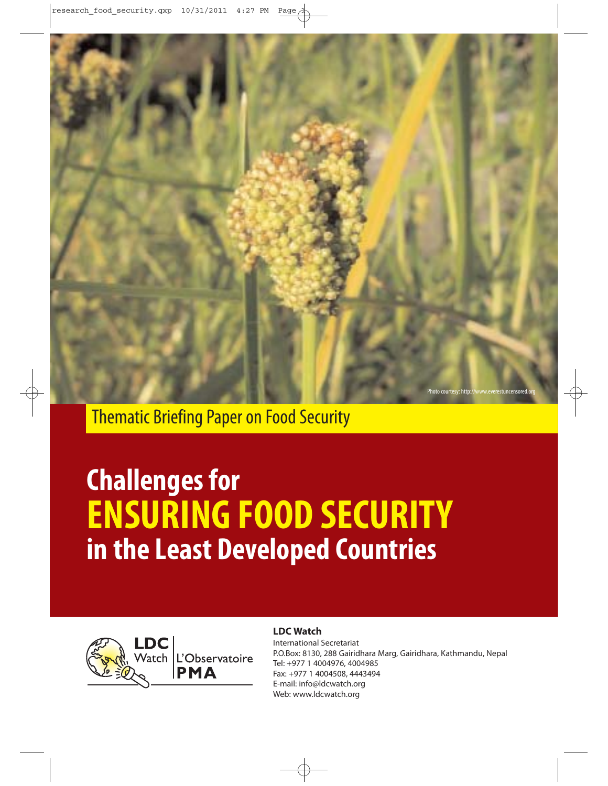

Thematic Briefing Paper on Food Security

# **Challenges for ENSURING FOOD SECURITY in the Least Developed Countries**



## **LDC Watch**

International Secretariat P.O.Box: 8130, 288 Gairidhara Marg, Gairidhara, Kathmandu, Nepal Tel: +977 1 4004976, 4004985 Fax: +977 1 4004508, 4443494 E-mail: info@ldcwatch.org Web: www.ldcwatch.org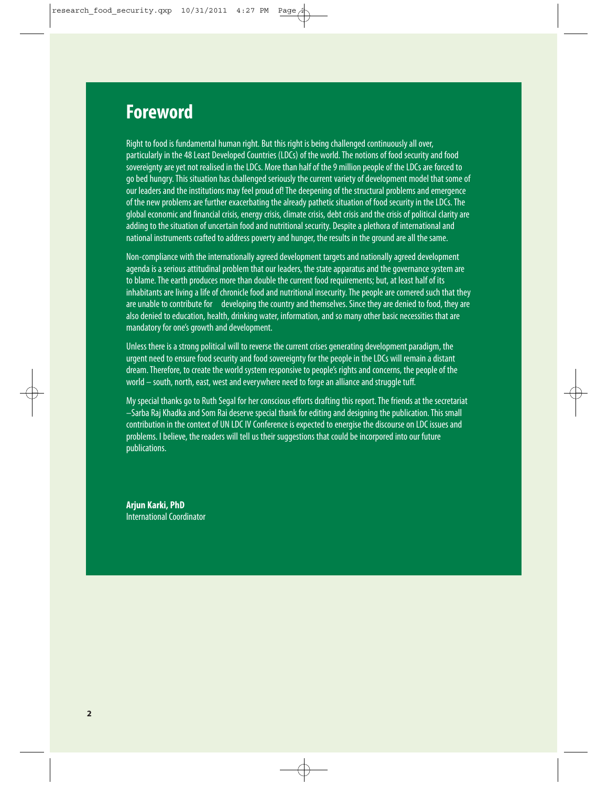# **Foreword**

Right to food is fundamental human right. But this right is being challenged continuously all over, particularly in the 48 Least Developed Countries (LDCs) of the world. The notions of food security and food sovereignty are yet not realised in the LDCs. More than half of the 9 million people of the LDCs are forced to go bed hungry. This situation has challenged seriously the current variety of development model that some of our leaders and the institutions may feel proud of! The deepening of the structural problems and emergence of the new problems are further exacerbating the already pathetic situation of food security in the LDCs. The global economic and financial crisis, energy crisis, climate crisis, debt crisis and the crisis of political clarity are adding to the situation of uncertain food and nutritional security. Despite a plethora of international and national instruments crafted to address poverty and hunger, the results in the ground are all the same.

Non-compliance with the internationally agreed development targets and nationally agreed development agenda is a serious attitudinal problem that our leaders, the state apparatus and the governance system are to blame. The earth produces more than double the current food requirements: but, at least half of its inhabitants are living a life of chronicle food and nutritional insecurity. The people are cornered such that they are unable to contribute for developing the country and themselves. Since they are denied to food, they are also denied to education, health, drinking water, information, and so many other basic necessities that are mandatory for one's growth and development.

Unless there is a strong political will to reverse the current crises generating development paradigm, the urgent need to ensure food security and food sovereignty for the people in the LDCs will remain a distant dream. Therefore, to create the world system responsive to people's rights and concerns, the people of the world – south, north, east, west and everywhere need to forge an alliance and struggle tuff.

My special thanks go to Ruth Segal for her conscious efforts drafting this report. The friends at the secretariat –Sarba Raj Khadka and Som Rai deserve special thank for editing and designing the publication. This small contribution in the context of UN LDC IV Conference is expected to energise the discourse on LDC issues and problems. I believe, the readers will tell us their suggestions that could be incorpored into our future publications.

**Arjun Karki, PhD** International Coordinator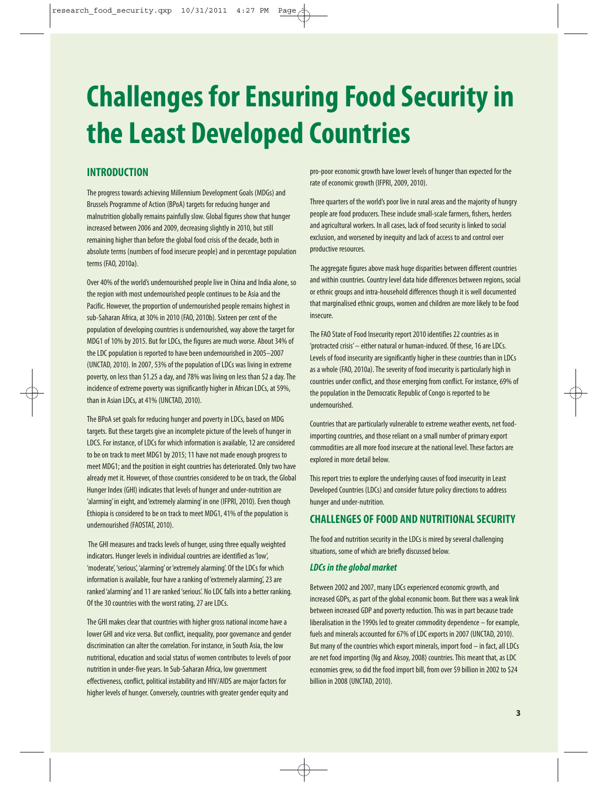# **Challenges for Ensuring Food Security in the Least Developed Countries**

# **INTRODUCTION**

The progress towards achieving Millennium Development Goals (MDGs) and Brussels Programme of Action (BPoA) targets for reducing hunger and malnutrition globally remains painfully slow. Global figures show that hunger increased between 2006 and 2009, decreasing slightly in 2010, but still remaining higher than before the global food crisis of the decade, both in absolute terms (numbers of food insecure people) and in percentage population terms (FAO, 2010a).

Over 40% of the world's undernourished people live in China and India alone, so the region with most undernourished people continues to be Asia and the Pacific. However, the proportion of undernourished people remains highest in sub-Saharan Africa, at 30% in 2010 (FAO, 2010b). Sixteen per cent of the population of developing countries is undernourished, way above the target for MDG1 of 10% by 2015. But for LDCs, the figures are much worse. About 34% of the LDC population is reported to have been undernourished in 2005–2007 (UNCTAD, 2010). In 2007, 53% of the population of LDCs was living in extreme poverty, on less than \$1.25 a day, and 78% was living on less than \$2 a day. The incidence of extreme poverty was significantly higher in African LDCs, at 59%, than in Asian LDCs, at 41% (UNCTAD, 2010).

The BPoA set goals for reducing hunger and poverty in LDCs, based on MDG targets. But these targets give an incomplete picture of the levels of hunger in LDCS. For instance, of LDCs for which information is available, 12 are considered to be on track to meet MDG1 by 2015; 11 have not made enough progress to meet MDG1; and the position in eight countries has deteriorated. Only two have already met it. However, of those countries considered to be on track, the Global Hunger Index (GHI) indicates that levels of hunger and under-nutrition are 'alarming' in eight, and 'extremely alarming' in one (IFPRI, 2010). Even though Ethiopia is considered to be on track to meet MDG1, 41% of the population is undernourished (FAOSTAT, 2010).

The GHI measures and tracks levels of hunger, using three equally weighted indicators. Hunger levels in individual countries are identified as 'low', 'moderate', 'serious', 'alarming' or 'extremely alarming'. Of the LDCs for which information is available, four have a ranking of 'extremely alarming', 23 are ranked 'alarming' and 11 are ranked 'serious'. No LDC falls into a better ranking. Of the 30 countries with the worst rating, 27 are LDCs.

The GHI makes clear that countries with higher gross national income have a lower GHI and vice versa. But conflict, inequality, poor governance and gender discrimination can alter the correlation. For instance, in South Asia, the low nutritional, education and social status of women contributes to levels of poor nutrition in under-five years. In Sub-Saharan Africa, low government effectiveness, conflict, political instability and HIV/AIDS are major factors for higher levels of hunger. Conversely, countries with greater gender equity and

pro-poor economic growth have lower levels of hunger than expected for the rate of economic growth (IFPRI, 2009, 2010).

Three quarters of the world's poor live in rural areas and the majority of hungry people are food producers. These include small-scale farmers, fishers, herders and agricultural workers. In all cases, lack of food security is linked to social exclusion, and worsened by inequity and lack of access to and control over productive resources.

The aggregate figures above mask huge disparities between different countries and within countries. Country level data hide differences between regions, social or ethnic groups and intra-household differences though it is well documented that marginalised ethnic groups, women and children are more likely to be food insecure.

The FAO State of Food Insecurity report 2010 identifies 22 countries as in 'protracted crisis' – either natural or human-induced. Of these, 16 are LDCs. Levels of food insecurity are significantly higher in these countries than in LDCs as a whole (FAO, 2010a). The severity of food insecurity is particularly high in countries under conflict, and those emerging from conflict. For instance, 69% of the population in the Democratic Republic of Congo is reported to be undernourished.

Countries that are particularly vulnerable to extreme weather events, net foodimporting countries, and those reliant on a small number of primary export commodities are all more food insecure at the national level. These factors are explored in more detail below.

This report tries to explore the underlying causes of food insecurity in Least Developed Countries (LDCs) and consider future policy directions to address hunger and under-nutrition.

## **CHALLENGES OF FOOD AND NUTRITIONAL SECURITY**

The food and nutrition security in the LDCs is mired by several challenging situations, some of which are briefly discussed below.

#### **LDCs in the global market**

Between 2002 and 2007, many LDCs experienced economic growth, and increased GDPs, as part of the global economic boom. But there was a weak link between increased GDP and poverty reduction. This was in part because trade liberalisation in the 1990s led to greater commodity dependence – for example, fuels and minerals accounted for 67% of LDC exports in 2007 (UNCTAD, 2010). But many of the countries which export minerals, import food – in fact, all LDCs are net food importing (Ng and Aksoy, 2008) countries. This meant that, as LDC economies grew, so did the food import bill, from over \$9 billion in 2002 to \$24 billion in 2008 (UNCTAD, 2010).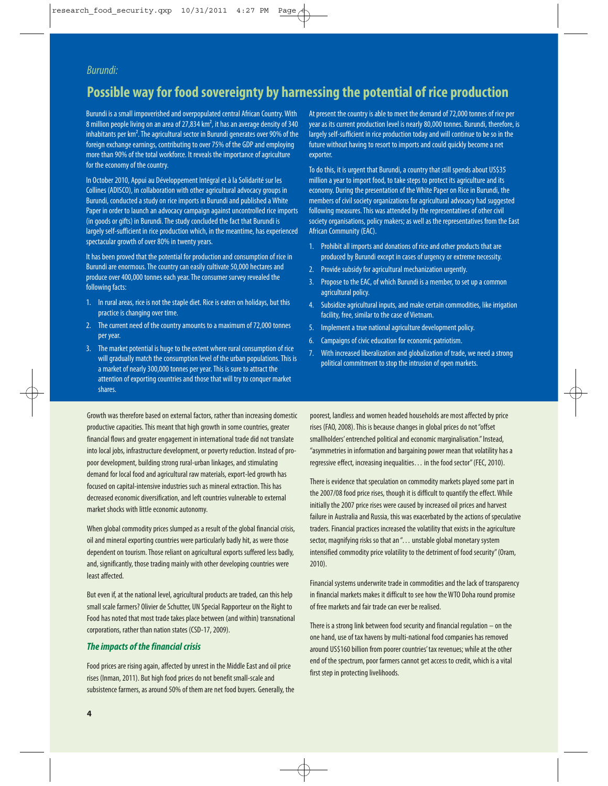### Burundi:

# **Possible way for food sovereignty by harnessing the potential of rice production**

Burundi is a small impoverished and overpopulated central African Country. With 8 million people living on an area of 27,834 km², it has an average density of 340 inhabitants per km<sup>2</sup>. The agricultural sector in Burundi generates over 90% of the foreign exchange earnings, contributing to over 75% of the GDP and employing more than 90% of the total workforce. It reveals the importance of agriculture for the economy of the country.

In October 2010, Appui au Développement Intégral et à la Solidarité sur les Collines (ADISCO), in collaboration with other agricultural advocacy groups in Burundi, conducted a study on rice imports in Burundi and published a White Paper in order to launch an advocacy campaign against uncontrolled rice imports (in goods or gifts) in Burundi. The study concluded the fact that Burundi is largely self-sufficient in rice production which, in the meantime, has experienced spectacular growth of over 80% in twenty years.

It has been proved that the potential for production and consumption of rice in Burundi are enormous. The country can easily cultivate 50,000 hectares and produce over 400,000 tonnes each year. The consumer survey revealed the following facts:

- 1. In rural areas, rice is not the staple diet. Rice is eaten on holidays, but this practice is changing over time.
- 2. The current need of the country amounts to a maximum of 72,000 tonnes per year.
- 3. The market potential is huge to the extent where rural consumption of rice will gradually match the consumption level of the urban populations. This is a market of nearly 300,000 tonnes per year. This is sure to attract the attention of exporting countries and those that will try to conquer market shares.

Growth was therefore based on external factors, rather than increasing domestic productive capacities. This meant that high growth in some countries, greater financial flows and greater engagement in international trade did not translate into local jobs, infrastructure development, or poverty reduction. Instead of propoor development, building strong rural-urban linkages, and stimulating demand for local food and agricultural raw materials, export-led growth has focused on capital-intensive industries such as mineral extraction. This has decreased economic diversification, and left countries vulnerable to external market shocks with little economic autonomy.

When global commodity prices slumped as a result of the global financial crisis, oil and mineral exporting countries were particularly badly hit, as were those dependent on tourism. Those reliant on agricultural exports suffered less badly, and, significantly, those trading mainly with other developing countries were least affected.

But even if, at the national level, agricultural products are traded, can this help small scale farmers? Olivier de Schutter, UN Special Rapporteur on the Right to Food has noted that most trade takes place between (and within) transnational corporations, rather than nation states (CSD-17, 2009).

#### **The impacts of the financial crisis**

Food prices are rising again, affected by unrest in the Middle East and oil price rises (Inman, 2011). But high food prices do not benefit small-scale and subsistence farmers, as around 50% of them are net food buyers. Generally, the At present the country is able to meet the demand of 72,000 tonnes of rice per year as its current production level is nearly 80,000 tonnes. Burundi, therefore, is largely self-sufficient in rice production today and will continue to be so in the future without having to resort to imports and could quickly become a net exporter.

To do this, it is urgent that Burundi, a country that still spends about US\$35 million a year to import food, to take steps to protect its agriculture and its economy. During the presentation of the White Paper on Rice in Burundi, the members of civil society organizations for agricultural advocacy had suggested following measures. This was attended by the representatives of other civil society organisations, policy makers; as well as the representatives from the East African Community (EAC).

- 1. Prohibit all imports and donations of rice and other products that are produced by Burundi except in cases of urgency or extreme necessity.
- 2. Provide subsidy for agricultural mechanization urgently.
- 3. Propose to the EAC, of which Burundi is a member, to set up a common agricultural policy.
- 4. Subsidize agricultural inputs, and make certain commodities, like irrigation facility, free, similar to the case of Vietnam.
- 5. Implement a true national agriculture development policy.
- 6. Campaigns of civic education for economic patriotism.
- 7. With increased liberalization and globalization of trade, we need a strong political commitment to stop the intrusion of open markets.

poorest, landless and women headed households are most affected by price rises (FAO, 2008). This is because changes in global prices do not "offset smallholders' entrenched political and economic marginalisation." Instead, "asymmetries in information and bargaining power mean that volatility has a regressive effect, increasing inequalities… in the food sector" (FEC, 2010).

There is evidence that speculation on commodity markets played some part in the 2007/08 food price rises, though it is difficult to quantify the effect. While initially the 2007 price rises were caused by increased oil prices and harvest failure in Australia and Russia, this was exacerbated by the actions of speculative traders. Financial practices increased the volatility that exists in the agriculture sector, magnifying risks so that an "... unstable global monetary system intensified commodity price volatility to the detriment of food security" (Oram, 2010).

Financial systems underwrite trade in commodities and the lack of transparency in financial markets makes it difficult to see how the WTO Doha round promise of free markets and fair trade can ever be realised.

There is a strong link between food security and financial regulation – on the one hand, use of tax havens by multi-national food companies has removed around US\$160 billion from poorer countries' tax revenues; while at the other end of the spectrum, poor farmers cannot get access to credit, which is a vital first step in protecting livelihoods.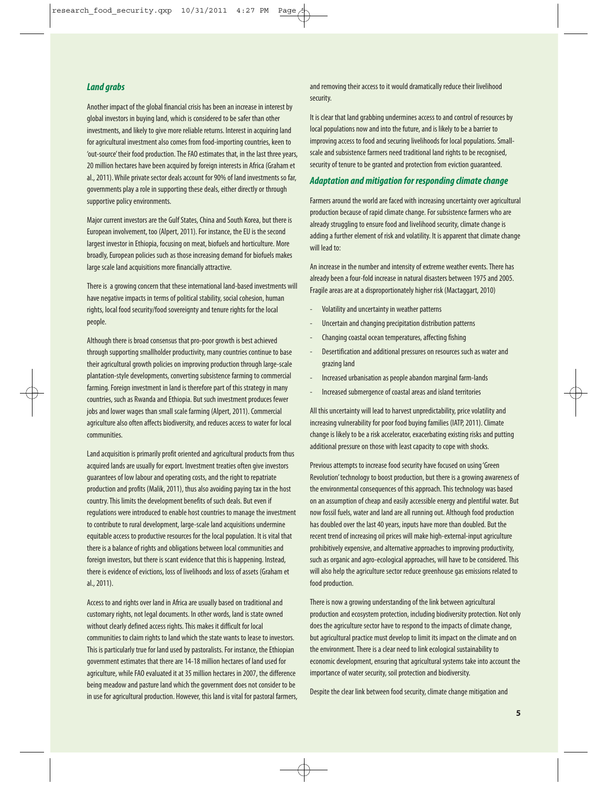#### **Land grabs**

Another impact of the global financial crisis has been an increase in interest by global investors in buying land, which is considered to be safer than other investments, and likely to give more reliable returns. Interest in acquiring land for agricultural investment also comes from food-importing countries, keen to 'out-source' their food production. The FAO estimates that, in the last three years, 20 million hectares have been acquired by foreign interests in Africa (Graham et al., 2011). While private sector deals account for 90% of land investments so far, governments play a role in supporting these deals, either directly or through supportive policy environments.

Major current investors are the Gulf States, China and South Korea, but there is European involvement, too (Alpert, 2011). For instance, the EU is the second largest investor in Ethiopia, focusing on meat, biofuels and horticulture. More broadly, European policies such as those increasing demand for biofuels makes large scale land acquisitions more financially attractive.

There is a growing concern that these international land-based investments will have negative impacts in terms of political stability, social cohesion, human rights, local food security/food sovereignty and tenure rights for the local people.

Although there is broad consensus that pro-poor growth is best achieved through supporting smallholder productivity, many countries continue to base their agricultural growth policies on improving production through large-scale plantation-style developments, converting subsistence farming to commercial farming. Foreign investment in land is therefore part of this strategy in many countries, such as Rwanda and Ethiopia. But such investment produces fewer jobs and lower wages than small scale farming (Alpert, 2011). Commercial agriculture also often affects biodiversity, and reduces access to water for local communities.

Land acquisition is primarily profit oriented and agricultural products from thus acquired lands are usually for export. Investment treaties often give investors guarantees of low labour and operating costs, and the right to repatriate production and profits (Malik, 2011), thus also avoiding paying tax in the host country. This limits the development benefits of such deals. But even if regulations were introduced to enable host countries to manage the investment to contribute to rural development, large-scale land acquisitions undermine equitable access to productive resources for the local population. It is vital that there is a balance of rights and obligations between local communities and foreign investors, but there is scant evidence that this is happening. Instead, there is evidence of evictions, loss of livelihoods and loss of assets (Graham et al., 2011).

Access to and rights over land in Africa are usually based on traditional and customary rights, not legal documents. In other words, land is state owned without clearly defined access rights. This makes it difficult for local communities to claim rights to land which the state wants to lease to investors. This is particularly true for land used by pastoralists. For instance, the Ethiopian government estimates that there are 14-18 million hectares of land used for agriculture, while FAO evaluated it at 35 million hectares in 2007, the difference being meadow and pasture land which the government does not consider to be in use for agricultural production. However, this land is vital for pastoral farmers, and removing their access to it would dramatically reduce their livelihood security.

It is clear that land grabbing undermines access to and control of resources by local populations now and into the future, and is likely to be a barrier to improving access to food and securing livelihoods for local populations. Smallscale and subsistence farmers need traditional land rights to be recognised, security of tenure to be granted and protection from eviction guaranteed.

#### **Adaptation and mitigation for responding climate change**

Farmers around the world are faced with increasing uncertainty over agricultural production because of rapid climate change. For subsistence farmers who are already struggling to ensure food and livelihood security, climate change is adding a further element of risk and volatility. It is apparent that climate change will lead to:

An increase in the number and intensity of extreme weather events. There has already been a four-fold increase in natural disasters between 1975 and 2005. Fragile areas are at a disproportionately higher risk (Mactaggart, 2010)

- Volatility and uncertainty in weather patterns
- Uncertain and changing precipitation distribution patterns
- Changing coastal ocean temperatures, affecting fishing
- Desertification and additional pressures on resources such as water and grazing land
- Increased urbanisation as people abandon marginal farm-lands
- Increased submergence of coastal areas and island territories

All this uncertainty will lead to harvest unpredictability, price volatility and increasing vulnerability for poor food buying families (IATP, 2011). Climate change is likely to be a risk accelerator, exacerbating existing risks and putting additional pressure on those with least capacity to cope with shocks.

Previous attempts to increase food security have focused on using 'Green Revolution' technology to boost production, but there is a growing awareness of the environmental consequences of this approach. This technology was based on an assumption of cheap and easily accessible energy and plentiful water. But now fossil fuels, water and land are all running out. Although food production has doubled over the last 40 years, inputs have more than doubled. But the recent trend of increasing oil prices will make high-external-input agriculture prohibitively expensive, and alternative approaches to improving productivity, such as organic and agro-ecological approaches, will have to be considered. This will also help the agriculture sector reduce greenhouse gas emissions related to food production.

There is now a growing understanding of the link between agricultural production and ecosystem protection, including biodiversity protection. Not only does the agriculture sector have to respond to the impacts of climate change, but agricultural practice must develop to limit its impact on the climate and on the environment. There is a clear need to link ecological sustainability to economic development, ensuring that agricultural systems take into account the importance of water security, soil protection and biodiversity.

Despite the clear link between food security, climate change mitigation and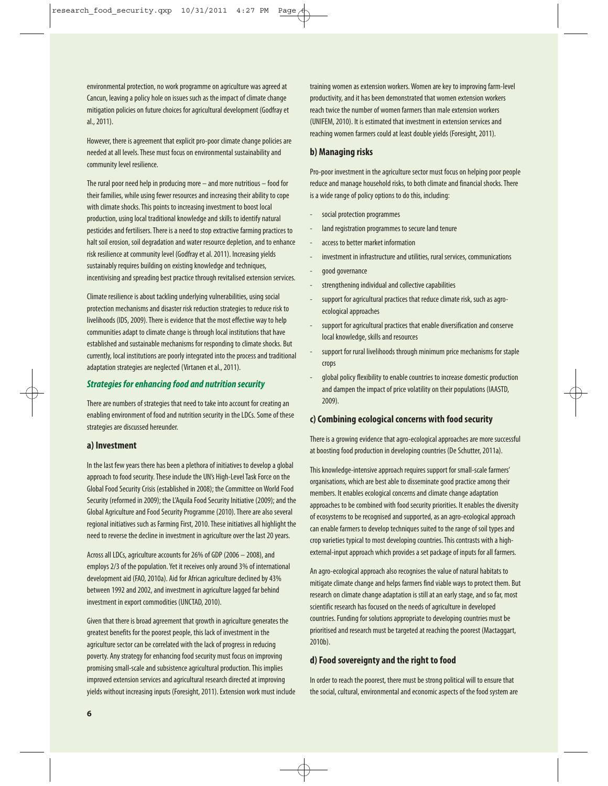environmental protection, no work programme on agriculture was agreed at Cancun, leaving a policy hole on issues such as the impact of climate change mitigation policies on future choices for agricultural development (Godfray et al., 2011).

However, there is agreement that explicit pro-poor climate change policies are needed at all levels. These must focus on environmental sustainability and community level resilience.

The rural poor need help in producing more – and more nutritious – food for their families, while using fewer resources and increasing their ability to cope with climate shocks. This points to increasing investment to boost local production, using local traditional knowledge and skills to identify natural pesticides and fertilisers. There is a need to stop extractive farming practices to halt soil erosion, soil degradation and water resource depletion, and to enhance risk resilience at community level (Godfray et al. 2011). Increasing yields sustainably requires building on existing knowledge and techniques. incentivising and spreading best practice through revitalised extension services.

Climate resilience is about tackling underlying vulnerabilities, using social protection mechanisms and disaster risk reduction strategies to reduce risk to livelihoods (IDS, 2009). There is evidence that the most effective way to help communities adapt to climate change is through local institutions that have established and sustainable mechanisms for responding to climate shocks. But currently, local institutions are poorly integrated into the process and traditional adaptation strategies are neglected (Virtanen et al., 2011).

#### **Strategies for enhancing food and nutrition security**

There are numbers of strategies that need to take into account for creating an enabling environment of food and nutrition security in the LDCs. Some of these strategies are discussed hereunder.

#### **a) Investment**

In the last few years there has been a plethora of initiatives to develop a global approach to food security. These include the UN's High-Level Task Force on the Global Food Security Crisis (established in 2008); the Committee on World Food Security (reformed in 2009); the L'Aquila Food Security Initiative (2009); and the Global Agriculture and Food Security Programme (2010). There are also several regional initiatives such as Farming First, 2010. These initiatives all highlight the need to reverse the decline in investment in agriculture over the last 20 years.

Across all LDCs, agriculture accounts for 26% of GDP (2006 – 2008), and employs 2/3 of the population. Yet it receives only around 3% of international development aid (FAO, 2010a). Aid for African agriculture declined by 43% between 1992 and 2002, and investment in agriculture lagged far behind investment in export commodities (UNCTAD, 2010).

Given that there is broad agreement that growth in agriculture generates the greatest benefits for the poorest people, this lack of investment in the agriculture sector can be correlated with the lack of progress in reducing poverty. Any strategy for enhancing food security must focus on improving promising small-scale and subsistence agricultural production. This implies improved extension services and agricultural research directed at improving yields without increasing inputs (Foresight, 2011). Extension work must include training women as extension workers. Women are key to improving farm-level productivity, and it has been demonstrated that women extension workers reach twice the number of women farmers than male extension workers (UNIFEM, 2010). It is estimated that investment in extension services and reaching women farmers could at least double yields (Foresight, 2011).

#### **b) Managing risks**

Pro-poor investment in the agriculture sector must focus on helping poor people reduce and manage household risks, to both climate and financial shocks. There is a wide range of policy options to do this, including:

- social protection programmes
- land registration programmes to secure land tenure
- access to better market information
- investment in infrastructure and utilities, rural services, communications
- good governance
- strengthening individual and collective capabilities
- support for agricultural practices that reduce climate risk, such as agroecological approaches
- support for agricultural practices that enable diversification and conserve local knowledge, skills and resources
- support for rural livelihoods through minimum price mechanisms for staple crops
- global policy flexibility to enable countries to increase domestic production and dampen the impact of price volatility on their populations (IAASTD, 2009).

#### **c) Combining ecological concerns with food security**

There is a growing evidence that agro-ecological approaches are more successful at boosting food production in developing countries (De Schutter, 2011a).

This knowledge-intensive approach requires support for small-scale farmers' organisations, which are best able to disseminate good practice among their members. It enables ecological concerns and climate change adaptation approaches to be combined with food security priorities. It enables the diversity of ecosystems to be recognised and supported, as an agro-ecological approach can enable farmers to develop techniques suited to the range of soil types and crop varieties typical to most developing countries. This contrasts with a highexternal-input approach which provides a set package of inputs for all farmers.

An agro-ecological approach also recognises the value of natural habitats to mitigate climate change and helps farmers find viable ways to protect them. But research on climate change adaptation is still at an early stage, and so far, most scientific research has focused on the needs of agriculture in developed countries. Funding for solutions appropriate to developing countries must be prioritised and research must be targeted at reaching the poorest (Mactaggart, 2010b).

#### **d) Food sovereignty and the right to food**

In order to reach the poorest, there must be strong political will to ensure that the social, cultural, environmental and economic aspects of the food system are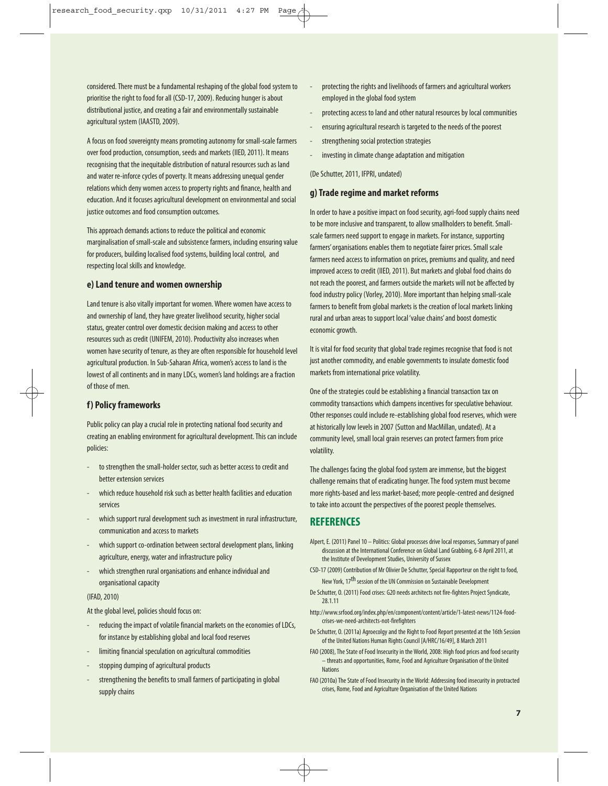considered. There must be a fundamental reshaping of the global food system to prioritise the right to food for all (CSD-17, 2009). Reducing hunger is about distributional justice, and creating a fair and environmentally sustainable agricultural system (IAASTD, 2009).

A focus on food sovereignty means promoting autonomy for small-scale farmers over food production, consumption, seeds and markets (IIED, 2011). It means recognising that the inequitable distribution of natural resources such as land and water re-inforce cycles of poverty. It means addressing unequal gender relations which deny women access to property rights and finance, health and education. And it focuses agricultural development on environmental and social justice outcomes and food consumption outcomes.

This approach demands actions to reduce the political and economic marginalisation of small-scale and subsistence farmers, including ensuring value for producers, building localised food systems, building local control, and respecting local skills and knowledge.

#### **e) Land tenure and women ownership**

Land tenure is also vitally important for women. Where women have access to and ownership of land, they have greater livelihood security, higher social status, greater control over domestic decision making and access to other resources such as credit (UNIFEM, 2010). Productivity also increases when women have security of tenure, as they are often responsible for household level agricultural production. In Sub-Saharan Africa, women's access to land is the lowest of all continents and in many LDCs, women's land holdings are a fraction of those of men.

#### **f) Policy frameworks**

Public policy can play a crucial role in protecting national food security and creating an enabling environment for agricultural development. This can include policies:

- to strengthen the small-holder sector, such as better access to credit and better extension services
- which reduce household risk such as better health facilities and education services
- which support rural development such as investment in rural infrastructure, communication and access to markets
- which support co-ordination between sectoral development plans, linking agriculture, energy, water and infrastructure policy
- which strengthen rural organisations and enhance individual and organisational capacity

#### (IFAD, 2010)

At the global level, policies should focus on:

- reducing the impact of volatile financial markets on the economies of LDCs, for instance by establishing global and local food reserves
- limiting financial speculation on agricultural commodities
- stopping dumping of agricultural products
- strengthening the benefits to small farmers of participating in global supply chains
- protecting the rights and livelihoods of farmers and agricultural workers employed in the global food system
- protecting access to land and other natural resources by local communities
- ensuring agricultural research is targeted to the needs of the poorest
- strengthening social protection strategies
- investing in climate change adaptation and mitigation

(De Schutter, 2011, IFPRI, undated)

#### **g) Trade regime and market reforms**

In order to have a positive impact on food security, agri-food supply chains need to be more inclusive and transparent, to allow smallholders to benefit. Smallscale farmers need support to engage in markets. For instance, supporting farmers' organisations enables them to negotiate fairer prices. Small scale farmers need access to information on prices, premiums and quality, and need improved access to credit (IIED, 2011). But markets and global food chains do not reach the poorest, and farmers outside the markets will not be affected by food industry policy (Vorley, 2010). More important than helping small-scale farmers to benefit from global markets is the creation of local markets linking rural and urban areas to support local 'value chains' and boost domestic economic growth.

It is vital for food security that global trade regimes recognise that food is not just another commodity, and enable governments to insulate domestic food markets from international price volatility.

One of the strategies could be establishing a financial transaction tax on commodity transactions which dampens incentives for speculative behaviour. Other responses could include re-establishing global food reserves, which were at historically low levels in 2007 (Sutton and MacMillan, undated). At a community level, small local grain reserves can protect farmers from price volatility.

The challenges facing the global food system are immense, but the biggest challenge remains that of eradicating hunger. The food system must become more rights-based and less market-based; more people-centred and designed to take into account the perspectives of the poorest people themselves.

#### **REFERENCES**

- Alpert, E. (2011) Panel 10 Politics: Global processes drive local responses, Summary of panel discussion at the International Conference on Global Land Grabbing, 6-8 April 2011, at the Institute of Development Studies, University of Sussex
- CSD-17 (2009) Contribution of Mr Olivier De Schutter, Special Rapporteur on the right to food, New York, 17th session of the UN Commission on Sustainable Development
- De Schutter, O. (2011) Food crises: G20 needs architects not fire-fighters Project Syndicate, 28.1.11
- http://www.srfood.org/index.php/en/component/content/article/1-latest-news/1124-foodcrises-we-need-architects-not-firefighters
- De Schutter, O. (2011a) Agroecolgy and the Right to Food Report presented at the 16th Session of the United Nations Human Rights Council [A/HRC/16/49], 8 March 2011
- FAO (2008), The State of Food Insecurity in the World, 2008: High food prices and food security – threats and opportunities, Rome, Food and Agriculture Organisation of the United **Nations**
- FAO (2010a) The State of Food Insecurity in the World: Addressing food insecurity in protracted crises, Rome, Food and Agriculture Organisation of the United Nations